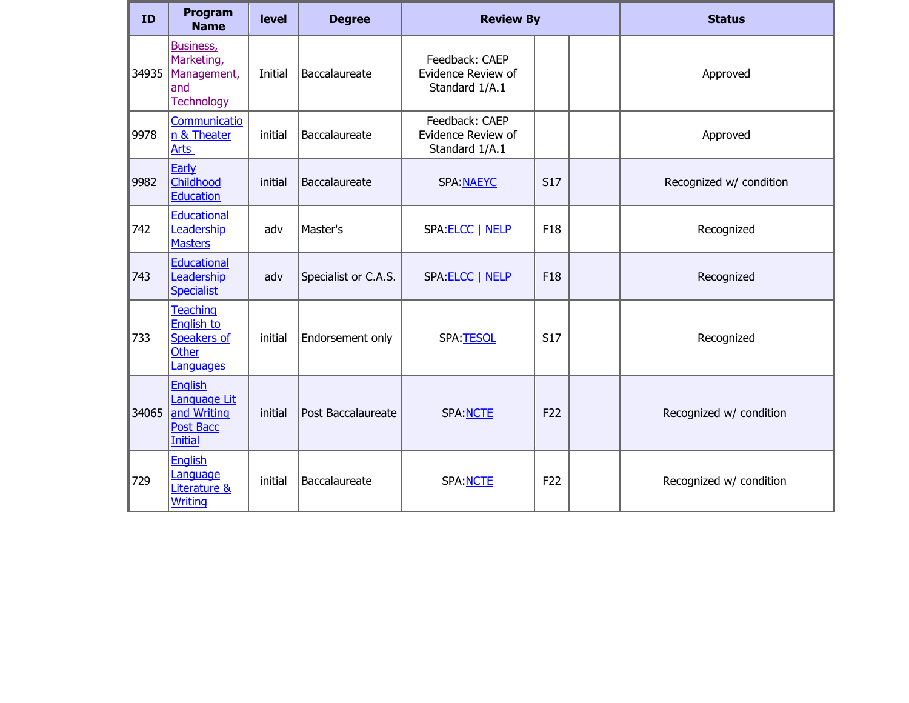| ID    | Program<br><b>Name</b>                                                              | level   | <b>Degree</b>        | <b>Review By</b>                                       |                 | <b>Status</b>           |
|-------|-------------------------------------------------------------------------------------|---------|----------------------|--------------------------------------------------------|-----------------|-------------------------|
| 34935 | Business,<br>Marketing,<br>Management,<br>and<br>Technology                         | Initial | Baccalaureate        | Feedback: CAEP<br>Evidence Review of<br>Standard 1/A.1 |                 | Approved                |
| 9978  | Communicatio<br>n & Theater<br>Arts                                                 | initial | Baccalaureate        | Feedback: CAEP<br>Evidence Review of<br>Standard 1/A.1 |                 | Approved                |
| 9982  | Early<br>Childhood<br><b>Education</b>                                              | initial | Baccalaureate        | SPA: NAEYC                                             | <b>S17</b>      | Recognized w/ condition |
| 742   | <b>Educational</b><br>Leadership<br><b>Masters</b>                                  | adv     | Master's             | SPA: ELCC   NELP                                       | F18             | Recognized              |
| 743   | Educational<br>Leadership<br><b>Specialist</b>                                      | adv     | Specialist or C.A.S. | SPA ELCC   NELP                                        | F18             | Recognized              |
| 733   | <b>Teaching</b><br><b>English to</b><br>Speakers of<br><b>Other</b><br>Languages    | initial | Endorsement only     | SPA:TESOL                                              | <b>S17</b>      | Recognized              |
| 34065 | <b>English</b><br>Language Lit<br>and Writing<br><b>Post Bacc</b><br><b>Initial</b> | initial | Post Baccalaureate   | <b>SPA: NCTE</b>                                       | F <sub>22</sub> | Recognized w/ condition |
| 729   | <b>English</b><br>Language<br>Literature &<br><b>Writing</b>                        | initial | Baccalaureate        | SPA: NCTE                                              | F <sub>22</sub> | Recognized w/ condition |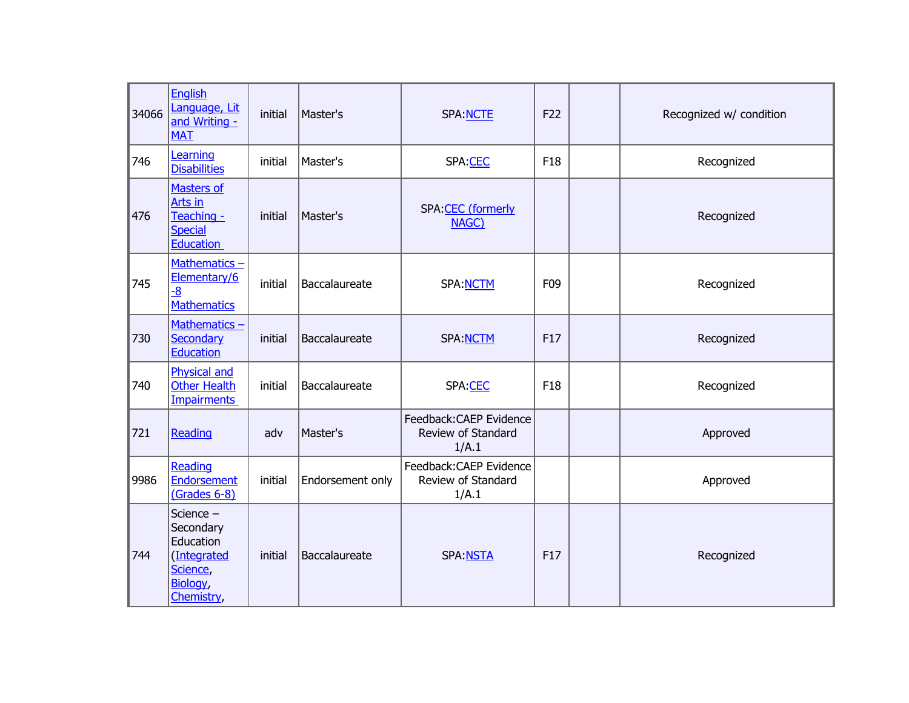| 34066 | <b>English</b><br>Language, Lit<br>and Writing -<br><b>MAT</b>                           | initial | Master's         | SPA: NCTE                                             | F22             | Recognized w/ condition |
|-------|------------------------------------------------------------------------------------------|---------|------------------|-------------------------------------------------------|-----------------|-------------------------|
| 746   | Learning<br><b>Disabilities</b>                                                          | initial | Master's         | SPA:CEC                                               | F18             | Recognized              |
| 476   | <b>Masters of</b><br>Arts in<br>Teaching -<br><b>Special</b><br><b>Education</b>         | initial | Master's         | SPA: CEC (formerly<br>NAGC)                           |                 | Recognized              |
| 745   | Mathematics $-$<br>Elementary/6<br>$-8$<br><b>Mathematics</b>                            | initial | Baccalaureate    | SPA: NCTM                                             | F <sub>09</sub> | Recognized              |
| 730   | Mathematics -<br><b>Secondary</b><br><b>Education</b>                                    | initial | Baccalaureate    | <b>SPA:NCTM</b>                                       | F <sub>17</sub> | Recognized              |
| 740   | <b>Physical and</b><br><b>Other Health</b><br><b>Impairments</b>                         | initial | Baccalaureate    | SPA:CEC                                               | F <sub>18</sub> | Recognized              |
| 721   | Reading                                                                                  | adv     | Master's         | Feedback:CAEP Evidence<br>Review of Standard<br>1/A.1 |                 | Approved                |
| 9986  | Reading<br>Endorsement<br>(Grades 6-8)                                                   | initial | Endorsement only | Feedback:CAEP Evidence<br>Review of Standard<br>1/A.1 |                 | Approved                |
| 744   | Science -<br>Secondary<br>Education<br>(Integrated<br>Science,<br>Biology,<br>Chemistry, | initial | Baccalaureate    | <b>SPA:NSTA</b>                                       | F17             | Recognized              |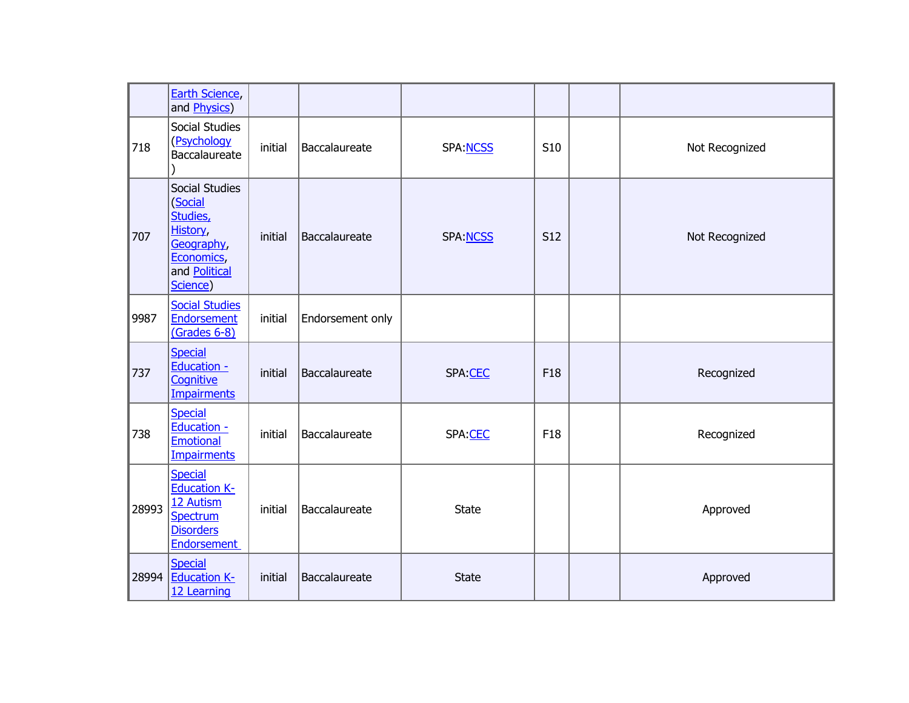|       | Earth Science,<br>and <b>Physics</b> )                                                                     |         |                  |              |            |                |
|-------|------------------------------------------------------------------------------------------------------------|---------|------------------|--------------|------------|----------------|
| 718   | Social Studies<br>(Psychology<br>Baccalaureate                                                             | initial | Baccalaureate    | SPA: NCSS    | S10        | Not Recognized |
| 707   | Social Studies<br>(Social<br>Studies,<br>History,<br>Geography,<br>Economics,<br>and Political<br>Science) | initial | Baccalaureate    | SPA:NCSS     | <b>S12</b> | Not Recognized |
| 9987  | <b>Social Studies</b><br><b>Endorsement</b><br>(Grades 6-8)                                                | initial | Endorsement only |              |            |                |
| 737   | <b>Special</b><br>Education -<br>Cognitive<br><b>Impairments</b>                                           | initial | Baccalaureate    | SPA:CEC      | F18        | Recognized     |
| 738   | <b>Special</b><br>Education -<br><b>Emotional</b><br><b>Impairments</b>                                    | initial | Baccalaureate    | SPA:CEC      | F18        | Recognized     |
| 28993 | <b>Special</b><br><b>Education K-</b><br>12 Autism<br>Spectrum<br><b>Disorders</b><br><b>Endorsement</b>   | initial | Baccalaureate    | <b>State</b> |            | Approved       |
| 28994 | <b>Special</b><br><b>Education K-</b><br>12 Learning                                                       | initial | Baccalaureate    | <b>State</b> |            | Approved       |